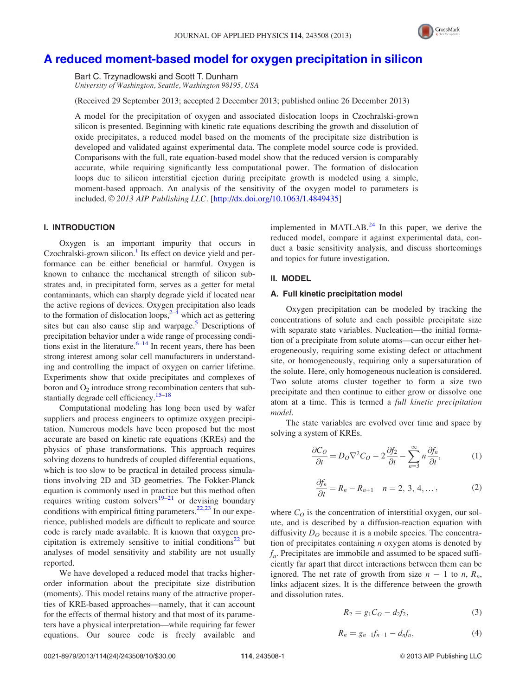

# <span id="page-0-0"></span>[A reduced moment-based model for oxygen precipitation in silicon](http://dx.doi.org/10.1063/1.4849435)

Bart C. Trzynadlowski and Scott T. Dunham University of Washington, Seattle, Washington 98195, USA

(Received 29 September 2013; accepted 2 December 2013; published online 26 December 2013)

A model for the precipitation of oxygen and associated dislocation loops in Czochralski-grown silicon is presented. Beginning with kinetic rate equations describing the growth and dissolution of oxide precipitates, a reduced model based on the moments of the precipitate size distribution is developed and validated against experimental data. The complete model source code is provided. Comparisons with the full, rate equation-based model show that the reduced version is comparably accurate, while requiring significantly less computational power. The formation of dislocation loops due to silicon interstitial ejection during precipitate growth is modeled using a simple, moment-based approach. An analysis of the sensitivity of the oxygen model to parameters is included.  $\odot$  2013 AIP Publishing LLC. [\[http://dx.doi.org/10.1063/1.4849435](http://dx.doi.org/10.1063/1.4849435)]

# I. INTRODUCTION

Oxygen is an important impurity that occurs in Czochralski-grown silicon. $<sup>1</sup>$  Its effect on device yield and per-</sup> formance can be either beneficial or harmful. Oxygen is known to enhance the mechanical strength of silicon substrates and, in precipitated form, serves as a getter for metal contaminants, which can sharply degrade yield if located near the active regions of devices. Oxygen precipitation also leads to the formation of dislocation loops, $2^{-4}$  which act as gettering sites but can also cause slip and warpage. $5$  Descriptions of precipitation behavior under a wide range of processing conditions exist in the literature.  $6-14$  In recent years, there has been strong interest among solar cell manufacturers in understanding and controlling the impact of oxygen on carrier lifetime. Experiments show that oxide precipitates and complexes of boron and  $O_2$  introduce strong recombination centers that sub-stantially degrade cell efficiency.<sup>[15](#page-8-0)–[18](#page-8-0)</sup>

Computational modeling has long been used by wafer suppliers and process engineers to optimize oxygen precipitation. Numerous models have been proposed but the most accurate are based on kinetic rate equations (KREs) and the physics of phase transformations. This approach requires solving dozens to hundreds of coupled differential equations, which is too slow to be practical in detailed process simulations involving 2D and 3D geometries. The Fokker-Planck equation is commonly used in practice but this method often requires writing custom solvers<sup>[19–21](#page-8-0)</sup> or devising boundary conditions with empirical fitting parameters.<sup>[22,23](#page-8-0)</sup> In our experience, published models are difficult to replicate and source code is rarely made available. It is known that oxygen pre-cipitation is extremely sensitive to initial conditions<sup>[22](#page-8-0)</sup> but analyses of model sensitivity and stability are not usually reported.

We have developed a reduced model that tracks higherorder information about the precipitate size distribution (moments). This model retains many of the attractive properties of KRE-based approaches—namely, that it can account for the effects of thermal history and that most of its parameters have a physical interpretation—while requiring far fewer equations. Our source code is freely available and implemented in MATLAB. $^{24}$  $^{24}$  $^{24}$  In this paper, we derive the reduced model, compare it against experimental data, conduct a basic sensitivity analysis, and discuss shortcomings and topics for future investigation.

## II. MODEL

## A. Full kinetic precipitation model

Oxygen precipitation can be modeled by tracking the concentrations of solute and each possible precipitate size with separate state variables. Nucleation—the initial formation of a precipitate from solute atoms—can occur either heterogeneously, requiring some existing defect or attachment site, or homogeneously, requiring only a supersaturation of the solute. Here, only homogeneous nucleation is considered. Two solute atoms cluster together to form a size two precipitate and then continue to either grow or dissolve one atom at a time. This is termed a full kinetic precipitation model.

The state variables are evolved over time and space by solving a system of KREs.

$$
\frac{\partial C_O}{\partial t} = D_O \nabla^2 C_O - 2 \frac{\partial f_2}{\partial t} - \sum_{n=3}^{\infty} n \frac{\partial f_n}{\partial t},\tag{1}
$$

$$
\frac{\partial f_n}{\partial t} = R_n - R_{n+1} \quad n = 2, 3, 4, \dots,
$$
 (2)

where  $C_O$  is the concentration of interstitial oxygen, our solute, and is described by a diffusion-reaction equation with diffusivity  $D<sub>O</sub>$  because it is a mobile species. The concentration of precipitates containing  $n$  oxygen atoms is denoted by  $f_n$ . Precipitates are immobile and assumed to be spaced sufficiently far apart that direct interactions between them can be ignored. The net rate of growth from size  $n-1$  to  $n, R_n$ , links adjacent sizes. It is the difference between the growth and dissolution rates.

$$
R_2 = g_1 C_O - d_2 f_2,\tag{3}
$$

$$
R_n = g_{n-1}f_{n-1} - d_nf_n, \t\t(4)
$$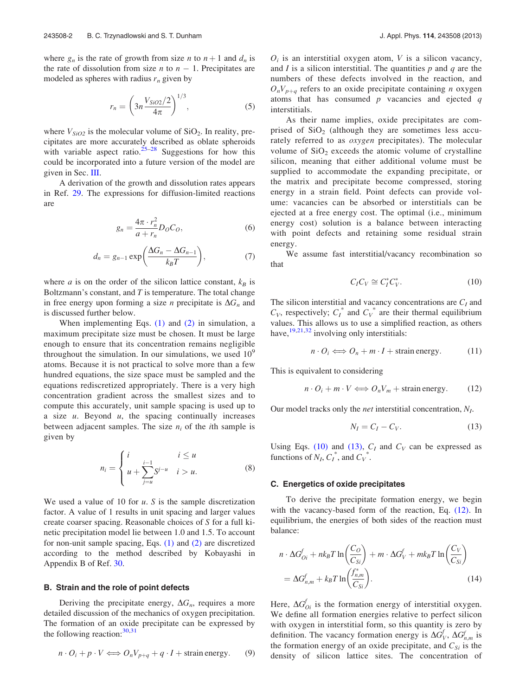<span id="page-1-0"></span>where  $g_n$  is the rate of growth from size *n* to  $n + 1$  and  $d_n$  is the rate of dissolution from size  $n$  to  $n - 1$ . Precipitates are modeled as spheres with radius  $r_n$  given by

$$
r_n = \left(3n \frac{V_{SiO2}/2}{4\pi}\right)^{1/3},\tag{5}
$$

where  $V_{SiO2}$  is the molecular volume of  $SiO<sub>2</sub>$ . In reality, precipitates are more accurately described as oblate spheroids with variable aspect ratio.<sup>[25–28](#page-8-0)</sup> Suggestions for how this could be incorporated into a future version of the model are given in Sec. [III.](#page-4-0)

A derivation of the growth and dissolution rates appears in Ref. [29](#page-8-0). The expressions for diffusion-limited reactions are

$$
g_n = \frac{4\pi \cdot r_n^2}{a + r_n} D_O C_O,
$$
\n<sup>(6)</sup>

$$
d_n = g_{n-1} \exp\left(\frac{\Delta G_n - \Delta G_{n-1}}{k_B T}\right),\tag{7}
$$

where *a* is on the order of the silicon lattice constant,  $k_B$  is Boltzmann's constant, and  $T$  is temperature. The total change in free energy upon forming a size *n* precipitate is  $\Delta G_n$  and is discussed further below.

When implementing Eqs.  $(1)$  and  $(2)$  in simulation, a maximum precipitate size must be chosen. It must be large enough to ensure that its concentration remains negligible throughout the simulation. In our simulations, we used  $10<sup>9</sup>$ atoms. Because it is not practical to solve more than a few hundred equations, the size space must be sampled and the equations rediscretized appropriately. There is a very high concentration gradient across the smallest sizes and to compute this accurately, unit sample spacing is used up to a size  $u$ . Beyond  $u$ , the spacing continually increases between adjacent samples. The size  $n_i$  of the *i*th sample is given by

$$
n_{i} = \begin{cases} i & i \leq u \\ u + \sum_{j=u}^{i-1} S^{j-u} & i > u. \end{cases}
$$
 (8)

We used a value of 10 for  $u$ . S is the sample discretization factor. A value of 1 results in unit spacing and larger values create coarser spacing. Reasonable choices of S for a full kinetic precipitation model lie between 1.0 and 1.5. To account for non-unit sample spacing, Eqs. [\(1\)](#page-0-0) and [\(2\)](#page-0-0) are discretized according to the method described by Kobayashi in Appendix B of Ref. [30.](#page-8-0)

### B. Strain and the role of point defects

Deriving the precipitate energy,  $\Delta G_n$ , requires a more detailed discussion of the mechanics of oxygen precipitation. The formation of an oxide precipitate can be expressed by the following reaction:  $30,31$  $30,31$  $30,31$ 

 $O_i$  is an interstitial oxygen atom, V is a silicon vacancy, and I is a silicon interstitial. The quantities  $p$  and  $q$  are the numbers of these defects involved in the reaction, and  $O_nV_{p+q}$  refers to an oxide precipitate containing n oxygen atoms that has consumed  $p$  vacancies and ejected  $q$ interstitials.

As their name implies, oxide precipitates are comprised of  $SiO<sub>2</sub>$  (although they are sometimes less accurately referred to as oxygen precipitates). The molecular volume of  $SiO<sub>2</sub>$  exceeds the atomic volume of crystalline silicon, meaning that either additional volume must be supplied to accommodate the expanding precipitate, or the matrix and precipitate become compressed, storing energy in a strain field. Point defects can provide volume: vacancies can be absorbed or interstitials can be ejected at a free energy cost. The optimal (i.e., minimum energy cost) solution is a balance between interacting with point defects and retaining some residual strain energy.

We assume fast interstitial/vacancy recombination so that

$$
C_I C_V \cong C_I^* C_V^*.
$$
 (10)

The silicon interstitial and vacancy concentrations are  $C_I$  and  $C_V$ , respectively;  $C_I^*$  and  $C_V^*$  are their thermal equilibrium values. This allows us to use a simplified reaction, as others have,  $\frac{19,21,32}{2}$  $\frac{19,21,32}{2}$  $\frac{19,21,32}{2}$  $\frac{19,21,32}{2}$  $\frac{19,21,32}{2}$  involving only interstitials:

$$
n \cdot O_i \Longleftrightarrow O_n + m \cdot I + \text{strain energy.} \tag{11}
$$

This is equivalent to considering

$$
n \cdot O_i + m \cdot V \Longleftrightarrow O_n V_m + \text{strain energy.} \tag{12}
$$

Our model tracks only the *net* interstitial concentration,  $N_I$ .

$$
N_I = C_I - C_V. \tag{13}
$$

Using Eqs. (10) and (13),  $C_I$  and  $C_V$  can be expressed as functions of  $N_I$ ,  $C_I^*$ , and  $C_V^*$ .

#### C. Energetics of oxide precipitates

To derive the precipitate formation energy, we begin with the vacancy-based form of the reaction, Eq. (12). In equilibrium, the energies of both sides of the reaction must balance:

$$
n \cdot \Delta G_{0i}^{f} + nk_B T \ln \left(\frac{C_O}{C_{Si}}\right) + m \cdot \Delta G_V^{f} + mk_B T \ln \left(\frac{C_V}{C_{Si}}\right)
$$
  
=  $\Delta G_{n,m}^{f} + k_B T \ln \left(\frac{f_{n,m}^{*}}{C_{Si}}\right).$  (14)

Here,  $\Delta G_{0i}^f$  is the formation energy of interstitial oxygen. We define all formation energies relative to perfect silicon with oxygen in interstitial form, so this quantity is zero by definition. The vacancy formation energy is  $\Delta G_V^f$ ,  $\Delta G_{n,m}^f$  is the formation energy of an oxide precipitate, and  $C_{Si}$  is the density of silicon lattice sites. The concentration of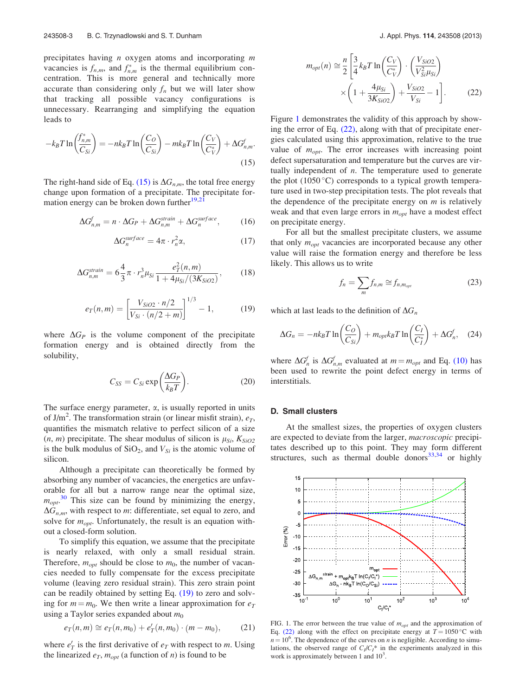precipitates having  $n$  oxygen atoms and incorporating  $m$ vacancies is  $f_{n,m}$ , and  $f_{n,m}^*$  is the thermal equilibrium concentration. This is more general and technically more accurate than considering only  $f_n$  but we will later show that tracking all possible vacancy configurations is unnecessary. Rearranging and simplifying the equation leads to

$$
-k_B T \ln \left(\frac{f_{n,m}^*}{C_{Si}}\right) = -nk_B T \ln \left(\frac{C_O}{C_{Si}}\right) - mk_B T \ln \left(\frac{C_V}{C_V^*}\right) + \Delta G_{n,m}^f.
$$
\n(15)

The right-hand side of Eq. (15) is  $\Delta G_{n,m}$ , the total free energy change upon formation of a precipitate. The precipitate formation energy can be broken down further $19,21$ 

$$
\Delta G_{n,m}^f = n \cdot \Delta G_P + \Delta G_{n,m}^{strain} + \Delta G_n^{surface},\qquad(16)
$$

$$
\Delta G_n^{surface} = 4\pi \cdot r_n^2 \alpha, \qquad (17)
$$

$$
\Delta G_{n,m}^{strain} = 6\frac{4}{3}\pi \cdot r_n^3 \mu_{Si} \frac{e_T^2(n,m)}{1 + 4\mu_{Si}/(3K_{SiO2})},\qquad(18)
$$

$$
e_T(n,m) = \left[\frac{V_{SiO2} \cdot n/2}{V_{Si} \cdot (n/2 + m)}\right]^{1/3} - 1,\tag{19}
$$

where  $\Delta G_P$  is the volume component of the precipitate formation energy and is obtained directly from the solubility,

$$
C_{SS} = C_{Si} \exp\left(\frac{\Delta G_P}{k_B T}\right). \tag{20}
$$

The surface energy parameter,  $\alpha$ , is usually reported in units of J/m<sup>2</sup>. The transformation strain (or linear misfit strain),  $e_T$ , quantifies the mismatch relative to perfect silicon of a size  $(n, m)$  precipitate. The shear modulus of silicon is  $\mu_{Si}$ ,  $K_{SiO2}$ is the bulk modulus of  $SiO<sub>2</sub>$ , and  $V<sub>Si</sub>$  is the atomic volume of silicon.

Although a precipitate can theoretically be formed by absorbing any number of vacancies, the energetics are unfavorable for all but a narrow range near the optimal size,  $m_{opt}$ <sup>[30](#page-8-0)</sup> This size can be found by minimizing the energy,  $\Delta G_{n,m}$ , with respect to m: differentiate, set equal to zero, and solve for  $m_{opt}$ . Unfortunately, the result is an equation without a closed-form solution.

To simplify this equation, we assume that the precipitate is nearly relaxed, with only a small residual strain. Therefore,  $m_{opt}$  should be close to  $m_0$ , the number of vacancies needed to fully compensate for the excess precipitate volume (leaving zero residual strain). This zero strain point can be readily obtained by setting Eq. (19) to zero and solving for  $m = m_0$ . We then write a linear approximation for  $e_T$ using a Taylor series expanded about  $m_0$ 

$$
e_T(n,m) \cong e_T(n,m_0) + e'_T(n,m_0) \cdot (m-m_0), \qquad (21)
$$

where  $e'_T$  is the first derivative of  $e_T$  with respect to m. Using the linearized  $e_T$ ,  $m_{opt}$  (a function of *n*) is found to be

$$
m_{opt}(n) \approx \frac{n}{2} \left[ \frac{3}{4} k_B T \ln \left( \frac{C_V}{C_V^*} \right) \cdot \left( \frac{V_{SiO2}}{V_{Si}^2 \mu_{Si}} \right) \times \left( 1 + \frac{4 \mu_{Si}}{3 K_{SiO2}} \right) + \frac{V_{SiO2}}{V_{Si}} - 1 \right].
$$
 (22)

Figure 1 demonstrates the validity of this approach by showing the error of Eq.  $(22)$ , along with that of precipitate energies calculated using this approximation, relative to the true value of  $m_{opt}$ . The error increases with increasing point defect supersaturation and temperature but the curves are virtually independent of  $n$ . The temperature used to generate the plot  $(1050 \degree C)$  corresponds to a typical growth temperature used in two-step precipitation tests. The plot reveals that the dependence of the precipitate energy on  $m$  is relatively weak and that even large errors in  $m_{opt}$  have a modest effect on precipitate energy.

For all but the smallest precipitate clusters, we assume that only  $m_{opt}$  vacancies are incorporated because any other value will raise the formation energy and therefore be less likely. This allows us to write

$$
f_n = \sum_m f_{n,m} \cong f_{n,m_{opt}} \tag{23}
$$

which at last leads to the definition of  $\Delta G_n$ 

$$
\Delta G_n = -nk_B T \ln \left(\frac{C_O}{C_{Si}}\right) + m_{opt} k_B T \ln \left(\frac{C_I}{C_I^*}\right) + \Delta G_n^f, \quad (24)
$$

where  $\Delta G_n^f$  is  $\Delta G_{n,m}^f$  evaluated at  $m = m_{opt}$  and Eq. [\(10\)](#page-1-0) has been used to rewrite the point defect energy in terms of interstitials.

#### D. Small clusters

At the smallest sizes, the properties of oxygen clusters are expected to deviate from the larger, macroscopic precipitates described up to this point. They may form different structures, such as thermal double donors $33,34$  or highly



FIG. 1. The error between the true value of  $m_{opt}$  and the approximation of Eq. (22) along with the effect on precipitate energy at  $T = 1050^{\circ}$ C with  $n = 10^6$ . The dependence of the curves on n is negligible. According to simulations, the observed range of  $C_I/C_I^*$  in the experiments analyzed in this work is approximately between 1 and  $10^3$ .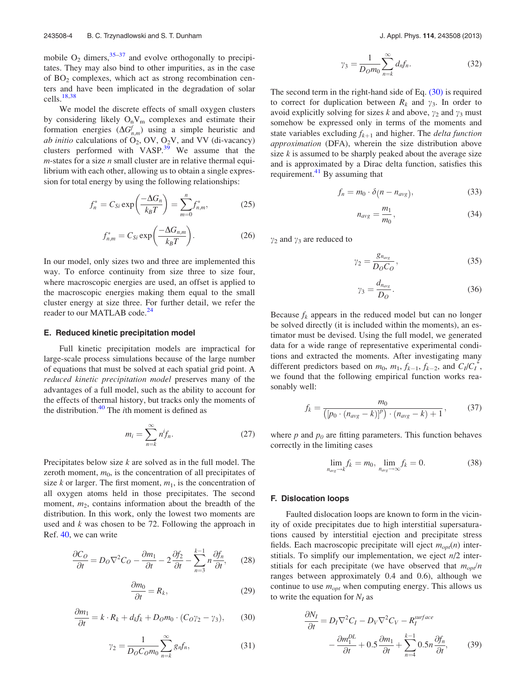<span id="page-3-0"></span>mobile  $O_2$  dimers,  $35-37$  and evolve orthogonally to precipitates. They may also bind to other impurities, as in the case of  $BO<sub>2</sub>$  complexes, which act as strong recombination centers and have been implicated in the degradation of solar cells. $\frac{18,38}{2}$  $\frac{18,38}{2}$  $\frac{18,38}{2}$ 

We model the discrete effects of small oxygen clusters by considering likely  $O_nV_m$  complexes and estimate their formation energies  $(\Delta G_{n,m}^f)$  using a simple heuristic and ab initio calculations of  $O_2$ , OV,  $O_2V$ , and VV (di-vacancy) clusters performed with VASP.<sup>39</sup> We assume that the  $m$ -states for a size  $n$  small cluster are in relative thermal equilibrium with each other, allowing us to obtain a single expression for total energy by using the following relationships:

$$
f_n^* = C_{Si} \exp\left(\frac{-\Delta G_n}{k_B T}\right) = \sum_{m=0}^n f_{n,m}^*,\tag{25}
$$

$$
f_{n,m}^* = C_{Si} \exp\left(\frac{-\Delta G_{n,m}}{k_B T}\right). \tag{26}
$$

In our model, only sizes two and three are implemented this way. To enforce continuity from size three to size four, where macroscopic energies are used, an offset is applied to the macroscopic energies making them equal to the small cluster energy at size three. For further detail, we refer the reader to our MATLAB code.<sup>[24](#page-8-0)</sup>

## E. Reduced kinetic precipitation model

Full kinetic precipitation models are impractical for large-scale process simulations because of the large number of equations that must be solved at each spatial grid point. A reduced kinetic precipitation model preserves many of the advantages of a full model, such as the ability to account for the effects of thermal history, but tracks only the moments of the distribution. $40$  The *i*th moment is defined as

$$
m_i = \sum_{n=k}^{\infty} n^i f_n.
$$
 (27)

Precipitates below size  $k$  are solved as in the full model. The zeroth moment,  $m<sub>0</sub>$ , is the concentration of all precipitates of size k or larger. The first moment,  $m_1$ , is the concentration of all oxygen atoms held in those precipitates. The second moment,  $m_2$ , contains information about the breadth of the distribution. In this work, only the lowest two moments are used and  $k$  was chosen to be 72. Following the approach in Ref. [40,](#page-8-0) we can write

$$
\frac{\partial C_O}{\partial t} = D_O \nabla^2 C_O - \frac{\partial m_1}{\partial t} - 2 \frac{\partial f_2}{\partial t} - \sum_{n=3}^{k-1} n \frac{\partial f_n}{\partial t},\qquad(28)
$$

$$
\frac{\partial m_0}{\partial t} = R_k,\tag{29}
$$

$$
\frac{\partial m_1}{\partial t} = k \cdot R_k + d_k f_k + D_O m_0 \cdot (C_O \gamma_2 - \gamma_3), \qquad (30)
$$

$$
\gamma_2 = \frac{1}{D_O C_O m_0} \sum_{n=k}^{\infty} g_n f_n,\tag{31}
$$

$$
\gamma_3 = \frac{1}{D_0 m_0} \sum_{n=k}^{\infty} d_n f_n. \tag{32}
$$

The second term in the right-hand side of Eq. (30) is required to correct for duplication between  $R_k$  and  $\gamma_3$ . In order to avoid explicitly solving for sizes k and above,  $\gamma_2$  and  $\gamma_3$  must somehow be expressed only in terms of the moments and state variables excluding  $f_{k+1}$  and higher. The *delta function* approximation (DFA), wherein the size distribution above size  $k$  is assumed to be sharply peaked about the average size and is approximated by a Dirac delta function, satisfies this requirement. $41$  By assuming that

$$
f_n = m_0 \cdot \delta(n - n_{avg}), \tag{33}
$$

$$
n_{avg} = \frac{m_1}{m_0},\tag{34}
$$

 $\gamma_2$  and  $\gamma_3$  are reduced to

$$
\gamma_2 = \frac{g_{n_{avg}}}{D_O C_O},\tag{35}
$$

$$
\gamma_3 = \frac{d_{n_{\text{avg}}}}{D_O}.\tag{36}
$$

Because  $f_k$  appears in the reduced model but can no longer be solved directly (it is included within the moments), an estimator must be devised. Using the full model, we generated data for a wide range of representative experimental conditions and extracted the moments. After investigating many different predictors based on  $m_0$ ,  $m_1$ ,  $f_{k-1}$ ,  $f_{k-2}$ , and  $C_l/C_l^*$ , we found that the following empirical function works reasonably well:

$$
f_k = \frac{m_0}{([p_0 \cdot (n_{avg} - k)]^p) \cdot (n_{avg} - k) + 1},
$$
 (37)

where  $p$  and  $p_0$  are fitting parameters. This function behaves correctly in the limiting cases

$$
\lim_{n_{avg}\to k} f_k = m_0, \lim_{n_{avg}\to\infty} f_k = 0.
$$
\n(38)

### F. Dislocation loops

Faulted dislocation loops are known to form in the vicinity of oxide precipitates due to high interstitial supersaturations caused by interstitial ejection and precipitate stress fields. Each macroscopic precipitate will eject  $m_{opt}(n)$  interstitials. To simplify our implementation, we eject  $n/2$  interstitials for each precipitate (we have observed that  $m_{opt}/n$ ranges between approximately 0.4 and 0.6), although we continue to use  $m_{opt}$  when computing energy. This allows us to write the equation for  $N_I$  as

$$
\frac{\partial N_I}{\partial t} = D_I \nabla^2 C_I - D_V \nabla^2 C_V - R_I^{surface} \n- \frac{\partial m_I^{DL}}{\partial t} + 0.5 \frac{\partial m_1}{\partial t} + \sum_{n=4}^{k-1} 0.5n \frac{\partial f_n}{\partial t},
$$
\n(39)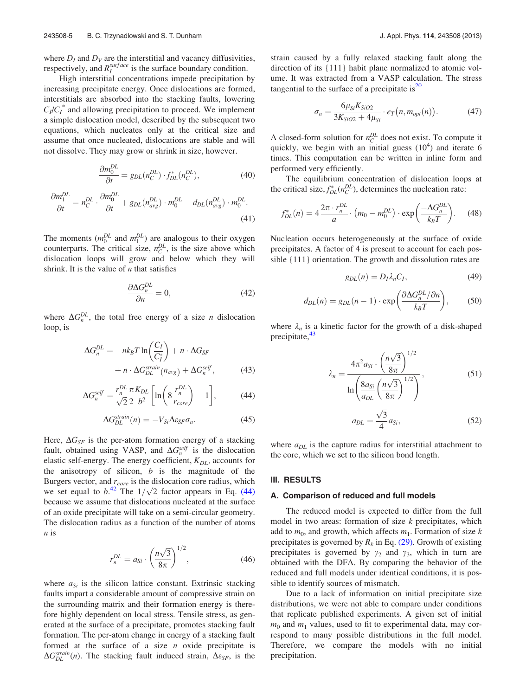<span id="page-4-0"></span>where  $D_I$  and  $D_V$  are the interstitial and vacancy diffusivities, respectively, and  $R_I^{surface}$  is the surface boundary condition.

High interstitial concentrations impede precipitation by increasing precipitate energy. Once dislocations are formed, interstitials are absorbed into the stacking faults, lowering  $C_I/C_I^*$  and allowing precipitation to proceed. We implement a simple dislocation model, described by the subsequent two equations, which nucleates only at the critical size and assume that once nucleated, dislocations are stable and will not dissolve. They may grow or shrink in size, however.

$$
\frac{\partial m_0^{DL}}{\partial t} = g_{DL}(n_C^{DL}) \cdot f_{DL}^*(n_C^{DL}),\tag{40}
$$

$$
\frac{\partial m_1^{DL}}{\partial t} = n_C^{DL} \cdot \frac{\partial m_0^{DL}}{\partial t} + g_{DL}(n_{avg}^{DL}) \cdot m_0^{DL} - d_{DL}(n_{avg}^{DL}) \cdot m_0^{DL}.
$$
\n(41)

The moments  $(m_0^{DL}$  and  $m_1^{DL}$ ) are analogous to their oxygen counterparts. The critical size,  $n_C^{DL}$ , is the size above which dislocation loops will grow and below which they will shrink. It is the value of  $n$  that satisfies

$$
\frac{\partial \Delta G_n^{DL}}{\partial n} = 0,\tag{42}
$$

where  $\Delta G_n^{DL}$ , the total free energy of a size *n* dislocation loop, is

$$
\Delta G_n^{DL} = -nk_B T \ln \left( \frac{C_I}{C_I^*} \right) + n \cdot \Delta G_{SF}
$$

$$
+ n \cdot \Delta G_{DL}^{strain}(n_{avg}) + \Delta G_n^{self}, \qquad (43)
$$

$$
\Delta G_n^{self} = \frac{r_n^{DL}}{\sqrt{2}} \frac{\pi}{2} \frac{K_{DL}}{b^2} \left[ \ln \left( 8 \frac{r_n^{DL}}{r_{core}} \right) - 1 \right],\tag{44}
$$

$$
\Delta G_{DL}^{strain}(n) = -V_{Si}\Delta \varepsilon_{SF}\sigma_n.
$$
 (45)

Here,  $\Delta G_{SF}$  is the per-atom formation energy of a stacking fault, obtained using VASP, and  $\Delta G_n^{self}$  is the dislocation elastic self-energy. The energy coefficient,  $K_{DL}$ , accounts for the anisotropy of silicon,  $b$  is the magnitude of the Burgers vector, and  $r_{core}$  is the dislocation core radius, which burgers vector, and  $r_{core}$  is the disfocation core radius, which<br>we set equal to  $b^{42}$  $b^{42}$  $b^{42}$ . The  $1/\sqrt{2}$  factor appears in Eq. (44) because we assume that dislocations nucleated at the surface of an oxide precipitate will take on a semi-circular geometry. The dislocation radius as a function of the number of atoms n is

$$
r_n^{DL} = a_{Si} \cdot \left(\frac{n\sqrt{3}}{8\pi}\right)^{1/2},\tag{46}
$$

where  $a_{Si}$  is the silicon lattice constant. Extrinsic stacking faults impart a considerable amount of compressive strain on the surrounding matrix and their formation energy is therefore highly dependent on local stress. Tensile stress, as generated at the surface of a precipitate, promotes stacking fault formation. The per-atom change in energy of a stacking fault formed at the surface of a size  $n$  oxide precipitate is  $\Delta G_{DL}^{strain}(n)$ . The stacking fault induced strain,  $\Delta \varepsilon_{SF}$ , is the

strain caused by a fully relaxed stacking fault along the direction of its {111} habit plane normalized to atomic volume. It was extracted from a VASP calculation. The stress tangential to the surface of a precipitate is $^{20}$  $^{20}$  $^{20}$ 

$$
\sigma_n = \frac{6\mu_{Si} K_{SiO2}}{3K_{SiO2} + 4\mu_{Si}} \cdot e_T(n, m_{opt}(n)).
$$
 (47)

A closed-form solution for  $n_C^{DL}$  does not exist. To compute it quickly, we begin with an initial guess  $(10^4)$  and iterate 6 times. This computation can be written in inline form and performed very efficiently.

The equilibrium concentration of dislocation loops at the critical size,  $f_{DL}^*(n_C^{DL})$ , determines the nucleation rate:

$$
f_{DL}^*(n) = 4 \frac{2\pi \cdot r_n^{DL}}{a} \cdot \left( m_0 - m_0^{DL} \right) \cdot \exp\left( \frac{-\Delta G_n^{DL}}{k_B T} \right). \tag{48}
$$

Nucleation occurs heterogeneously at the surface of oxide precipitates. A factor of 4 is present to account for each possible {111} orientation. The growth and dissolution rates are

$$
g_{DL}(n) = D_I \lambda_n C_I, \qquad (49)
$$

$$
d_{DL}(n) = g_{DL}(n-1) \cdot \exp\left(\frac{\partial \Delta G_n^{DL}/\partial n}{k_B T}\right),\tag{50}
$$

where  $\lambda_n$  is a kinetic factor for the growth of a disk-shaped precipitate, $43$ 

$$
\lambda_n = \frac{4\pi^2 a_{Si} \cdot \left(\frac{n\sqrt{3}}{8\pi}\right)^{1/2}}{\ln\left(\frac{8a_{Si}}{a_{DL}}\left(\frac{n\sqrt{3}}{8\pi}\right)^{1/2}\right)},\tag{51}
$$
\n
$$
a_{DL} = \frac{\sqrt{3}}{4} a_{Si},\tag{52}
$$

where  $a_{DL}$  is the capture radius for interstitial attachment to the core, which we set to the silicon bond length.

#### III. RESULTS

#### A. Comparison of reduced and full models

The reduced model is expected to differ from the full model in two areas: formation of size  $k$  precipitates, which add to  $m_0$ , and growth, which affects  $m_1$ . Formation of size k precipitates is governed by  $R_k$  in Eq. [\(29\)](#page-3-0). Growth of existing precipitates is governed by  $\gamma_2$  and  $\gamma_3$ , which in turn are obtained with the DFA. By comparing the behavior of the reduced and full models under identical conditions, it is possible to identify sources of mismatch.

Due to a lack of information on initial precipitate size distributions, we were not able to compare under conditions that replicate published experiments. A given set of initial  $m_0$  and  $m_1$  values, used to fit to experimental data, may correspond to many possible distributions in the full model. Therefore, we compare the models with no initial precipitation.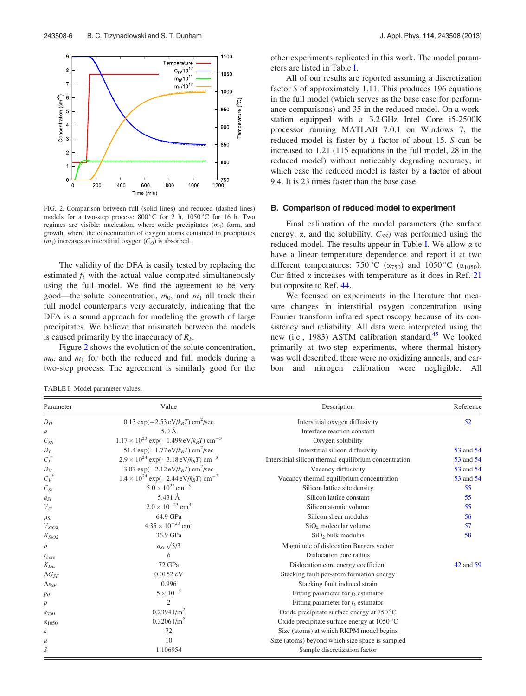

FIG. 2. Comparison between full (solid lines) and reduced (dashed lines) models for a two-step process:  $800^{\circ}$ C for 2 h,  $1050^{\circ}$ C for 16 h. Two regimes are visible: nucleation, where oxide precipitates  $(m_0)$  form, and growth, where the concentration of oxygen atoms contained in precipitates  $(m_1)$  increases as interstitial oxygen  $(C_O)$  is absorbed.

The validity of the DFA is easily tested by replacing the estimated  $f_k$  with the actual value computed simultaneously using the full model. We find the agreement to be very good—the solute concentration,  $m_0$ , and  $m_1$  all track their full model counterparts very accurately, indicating that the DFA is a sound approach for modeling the growth of large precipitates. We believe that mismatch between the models is caused primarily by the inaccuracy of  $R_k$ .

Figure 2 shows the evolution of the solute concentration,  $m_0$ , and  $m_1$  for both the reduced and full models during a two-step process. The agreement is similarly good for the

TABLE I. Model parameter values.

other experiments replicated in this work. The model parameters are listed in Table I.

All of our results are reported assuming a discretization factor S of approximately 1.11. This produces 196 equations in the full model (which serves as the base case for performance comparisons) and 35 in the reduced model. On a workstation equipped with a 3.2 GHz Intel Core i5-2500K processor running MATLAB 7.0.1 on Windows 7, the reduced model is faster by a factor of about 15. S can be increased to 1.21 (115 equations in the full model, 28 in the reduced model) without noticeably degrading accuracy, in which case the reduced model is faster by a factor of about 9.4. It is 23 times faster than the base case.

### B. Comparison of reduced model to experiment

Final calibration of the model parameters (the surface energy,  $\alpha$ , and the solubility,  $C_{SS}$ ) was performed using the reduced model. The results appear in Table I. We allow  $\alpha$  to have a linear temperature dependence and report it at two different temperatures: 750 °C ( $\alpha$ <sub>750</sub>) and 1050 °C ( $\alpha$ <sub>1050</sub>). Our fitted  $\alpha$  increases with temperature as it does in Ref. [21](#page-8-0) but opposite to Ref. [44.](#page-8-0)

We focused on experiments in the literature that measure changes in interstitial oxygen concentration using Fourier transform infrared spectroscopy because of its consistency and reliability. All data were interpreted using the new (i.e., 1983) ASTM calibration standard.<sup>45</sup> We looked primarily at two-step experiments, where thermal history was well described, there were no oxidizing anneals, and carbon and nitrogen calibration were negligible. All

| Parameter                 | Value                                                                  | Description                                            | Reference |
|---------------------------|------------------------------------------------------------------------|--------------------------------------------------------|-----------|
| D <sub>O</sub>            | 0.13 $\exp(-2.53 \text{ eV}/k_BT) \text{ cm}^2/\text{sec}$             | Interstitial oxygen diffusivity                        | 52        |
| a                         | $5.0\AA$                                                               | Interface reaction constant                            |           |
| $C_{SS}$                  | $1.17 \times 10^{23}$ exp(-1.499 eV/k <sub>B</sub> T) cm <sup>-3</sup> | Oxygen solubility                                      |           |
| $D_I$                     | 51.4 $\exp(-1.77 \text{ eV}/k_B T) \text{ cm}^2/\text{sec}$            | Interstitial silicon diffusivity                       | 53 and 54 |
| $C_I^*$                   | $2.9 \times 10^{24}$ exp(-3.18 eV/k <sub>B</sub> T) cm <sup>-3</sup>   | Interstitial silicon thermal equilibrium concentration | 53 and 54 |
| $D_V$                     | 3.07 exp( $-2.12 \text{ eV}/k_B T$ ) cm <sup>2</sup> /sec              | Vacancy diffusivity                                    | 53 and 54 |
| $C_V^*$                   | $1.4 \times 10^{24}$ exp(-2.44 eV/k <sub>B</sub> T) cm <sup>-3</sup>   | Vacancy thermal equilibrium concentration              | 53 and 54 |
| $C_{Si}$                  | $5.0 \times 10^{22}$ cm <sup>-3</sup>                                  | Silicon lattice site density                           | 55        |
| $a_{Si}$                  | 5.431 Å                                                                | Silicon lattice constant                               | 55        |
| $V_{Si}$                  | $2.0 \times 10^{-23}$ cm <sup>3</sup>                                  | Silicon atomic volume                                  | 55        |
| $\mu_{Si}$                | 64.9 GPa                                                               | Silicon shear modulus                                  | 56        |
| $V_{SiO2}$                | $4.35 \times 10^{-23}$ cm <sup>3</sup>                                 | $SiO2$ molecular volume                                | 57        |
| $K_{SiO2}$                | 36.9 GPa                                                               | $SiO2$ bulk modulus                                    | 58        |
| b                         | $a_{Si} \sqrt{3}/3$                                                    | Magnitude of dislocation Burgers vector                |           |
| $r_{core}$                | b                                                                      | Dislocation core radius                                |           |
| $K_{DL}$                  | 72 GPa                                                                 | Dislocation core energy coefficient                    | 42 and 59 |
| $\Delta G_{SF}$           | $0.0152 \text{ eV}$                                                    | Stacking fault per-atom formation energy               |           |
| $\Delta \varepsilon_{SF}$ | 0.996                                                                  | Stacking fault induced strain                          |           |
| p <sub>0</sub>            | $5 \times 10^{-3}$                                                     | Fitting parameter for $f_k$ estimator                  |           |
| p                         | $\overline{c}$                                                         | Fitting parameter for $f_k$ estimator                  |           |
| $\alpha_{750}$            | $0.2394$ J/m <sup>2</sup>                                              | Oxide precipitate surface energy at $750^{\circ}$ C    |           |
| $\alpha_{1050}$           | $0.3206$ J/m <sup>2</sup>                                              | Oxide precipitate surface energy at $1050^{\circ}$ C   |           |
| $\boldsymbol{k}$          | 72                                                                     | Size (atoms) at which RKPM model begins                |           |
| $\mathcal{U}$             | 10                                                                     | Size (atoms) beyond which size space is sampled        |           |
| S                         | 1.106954                                                               | Sample discretization factor                           |           |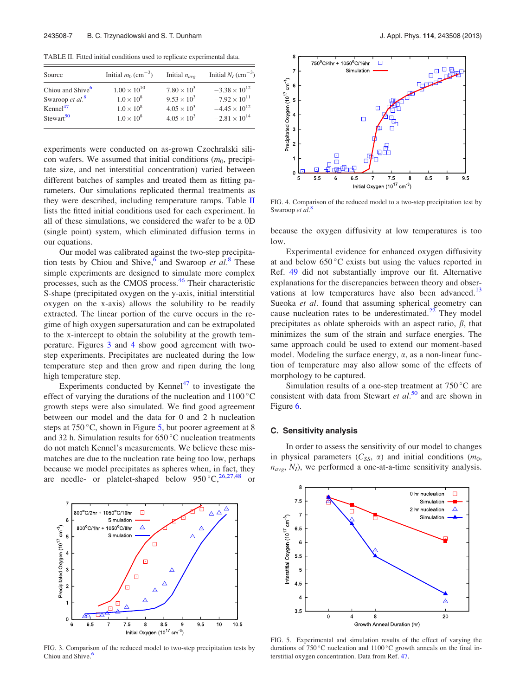TABLE II. Fitted initial conditions used to replicate experimental data.

| Source                       | Initial $m_0$ (cm <sup>-3</sup> ) | Initial $n_{\alpha\nu\rho}$ | Initial $N_I$ (cm <sup>-3</sup> ) |
|------------------------------|-----------------------------------|-----------------------------|-----------------------------------|
| Chiou and Shive <sup>6</sup> | $1.00 \times 10^{10}$             | $7.80 \times 10^{3}$        | $-3.38 \times 10^{12}$            |
| Swaroop et al. $\frac{8}{3}$ | $1.0 \times 10^{8}$               | $9.53 \times 10^3$          | $-7.92 \times 10^{11}$            |
| Kennel <sup>47</sup>         | $1.0 \times 10^{8}$               | $4.05 \times 10^{3}$        | $-4.45 \times 10^{12}$            |
| $Stewart^5$ <sup>50</sup>    | $1.0 \times 10^{8}$               | $4.05 \times 10^{3}$        | $-2.81 \times 10^{14}$            |

experiments were conducted on as-grown Czochralski silicon wafers. We assumed that initial conditions  $(m_0, \text{ precipi-})$ tate size, and net interstitial concentration) varied between different batches of samples and treated them as fitting parameters. Our simulations replicated thermal treatments as they were described, including temperature ramps. Table II lists the fitted initial conditions used for each experiment. In all of these simulations, we considered the wafer to be a 0D (single point) system, which eliminated diffusion terms in our equations.

Our model was calibrated against the two-step precipitation tests by Chiou and Shive,<sup>6</sup> and Swaroop et  $al$ .<sup>[8](#page-8-0)</sup> These simple experiments are designed to simulate more complex processes, such as the CMOS process.<sup>[46](#page-8-0)</sup> Their characteristic S-shape (precipitated oxygen on the y-axis, initial interstitial oxygen on the x-axis) allows the solubility to be readily extracted. The linear portion of the curve occurs in the regime of high oxygen supersaturation and can be extrapolated to the x-intercept to obtain the solubility at the growth temperature. Figures 3 and 4 show good agreement with twostep experiments. Precipitates are nucleated during the low temperature step and then grow and ripen during the long high temperature step.

Experiments conducted by Kennel<sup>[47](#page-8-0)</sup> to investigate the effect of varying the durations of the nucleation and  $1100^{\circ}$ C growth steps were also simulated. We find good agreement between our model and the data for 0 and 2 h nucleation steps at  $750^{\circ}$ C, shown in Figure 5, but poorer agreement at 8 and 32 h. Simulation results for  $650^{\circ}$ C nucleation treatments do not match Kennel's measurements. We believe these mismatches are due to the nucleation rate being too low, perhaps because we model precipitates as spheres when, in fact, they are needle- or platelet-shaped below  $950^{\circ}C^{26,27,48}$  $950^{\circ}C^{26,27,48}$  $950^{\circ}C^{26,27,48}$  or



FIG. 3. Comparison of the reduced model to two-step precipitation tests by Chiou and Shive.<sup>6</sup>



FIG. 4. Comparison of the reduced model to a two-step precipitation test by Swaroop et al. $\frac{8}{3}$  $\frac{8}{3}$  $\frac{8}{3}$ 

because the oxygen diffusivity at low temperatures is too low.

Experimental evidence for enhanced oxygen diffusivity at and below  $650^{\circ}$ C exists but using the values reported in Ref. [49](#page-9-0) did not substantially improve our fit. Alternative explanations for the discrepancies between theory and observations at low temperatures have also been advanced.<sup>13</sup> Sueoka et al. found that assuming spherical geometry can cause nucleation rates to be underestimated. $^{22}$  $^{22}$  $^{22}$  They model precipitates as oblate spheroids with an aspect ratio,  $\beta$ , that minimizes the sum of the strain and surface energies. The same approach could be used to extend our moment-based model. Modeling the surface energy,  $\alpha$ , as a non-linear function of temperature may also allow some of the effects of morphology to be captured.

Simulation results of a one-step treatment at  $750^{\circ}$ C are consistent with data from Stewart et  $al$ <sup>[50](#page-9-0)</sup> and are shown in Figure [6.](#page-7-0)

### C. Sensitivity analysis

In order to assess the sensitivity of our model to changes in physical parameters  $(C_{SS}, \alpha)$  and initial conditions  $(m_0,$  $n_{\text{avg}}$ ,  $N_I$ ), we performed a one-at-a-time sensitivity analysis.



FIG. 5. Experimental and simulation results of the effect of varying the durations of  $750^{\circ}$ C nucleation and  $1100^{\circ}$ C growth anneals on the final interstitial oxygen concentration. Data from Ref. [47.](#page-8-0)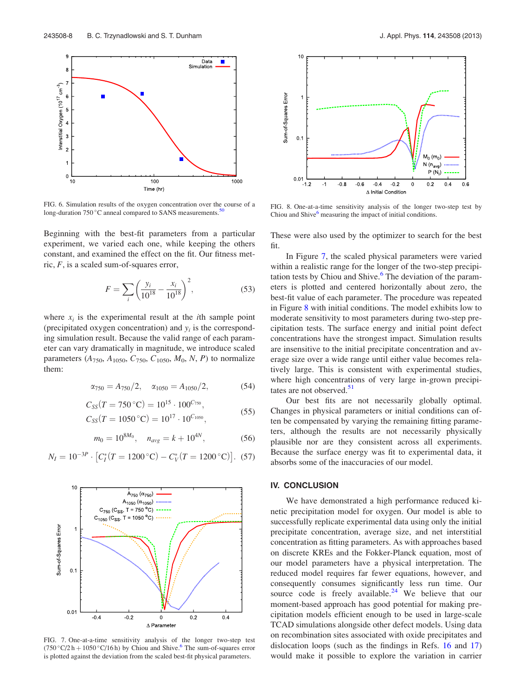<span id="page-7-0"></span>

FIG. 6. Simulation results of the oxygen concentration over the course of a long-duration 750 °C anneal compared to SANS measurements.<sup>5</sup>

Beginning with the best-fit parameters from a particular experiment, we varied each one, while keeping the others constant, and examined the effect on the fit. Our fitness metric,  $F$ , is a scaled sum-of-squares error,

$$
F = \sum_{i} \left( \frac{y_i}{10^{18}} - \frac{x_i}{10^{18}} \right)^2, \tag{53}
$$

where  $x_i$  is the experimental result at the *i*th sample point (precipitated oxygen concentration) and  $y_i$  is the corresponding simulation result. Because the valid range of each parameter can vary dramatically in magnitude, we introduce scaled parameters ( $A_{750}$ ,  $A_{1050}$ ,  $C_{750}$ ,  $C_{1050}$ ,  $M_0$ ,  $N$ ,  $P$ ) to normalize them:

$$
\alpha_{750} = A_{750}/2, \quad \alpha_{1050} = A_{1050}/2,\tag{54}
$$

$$
C_{SS}(T = 750 \,^{\circ}\text{C}) = 10^{15} \cdot 100^{C_{750}},
$$
  
\n
$$
C_{SS}(T = 1050 \,^{\circ}\text{C}) = 10^{17} \cdot 10^{C_{1050}},
$$
\n(55)

$$
m_0 = 10^{8M_0}
$$
,  $n_{avg} = k + 10^{4N}$ , (56)

$$
N_I = 10^{-3P} \cdot \left[ C_I^*(T = 1200 \, ^\circ\text{C}) - C_V^*(T = 1200 \, ^\circ\text{C}) \right]. \tag{57}
$$



FIG. 7. One-at-a-time sensitivity analysis of the longer two-step test  $(750 °C/2 h + 1050 °C/16 h)$  by Chiou and Shive.<sup>6</sup> The sum-of-squares error is plotted against the deviation from the scaled best-fit physical parameters.



FIG. 8. One-at-a-time sensitivity analysis of the longer two-step test by Chiou and Shive<sup>6</sup> measuring the impact of initial conditions.

These were also used by the optimizer to search for the best fit.

In Figure 7, the scaled physical parameters were varied within a realistic range for the longer of the two-step precipitation tests by Chiou and Shive. $6$  The deviation of the parameters is plotted and centered horizontally about zero, the best-fit value of each parameter. The procedure was repeated in Figure 8 with initial conditions. The model exhibits low to moderate sensitivity to most parameters during two-step precipitation tests. The surface energy and initial point defect concentrations have the strongest impact. Simulation results are insensitive to the initial precipitate concentration and average size over a wide range until either value becomes relatively large. This is consistent with experimental studies, where high concentrations of very large in-grown precipitates are not observed. $51$ 

Our best fits are not necessarily globally optimal. Changes in physical parameters or initial conditions can often be compensated by varying the remaining fitting parameters, although the results are not necessarily physically plausible nor are they consistent across all experiments. Because the surface energy was fit to experimental data, it absorbs some of the inaccuracies of our model.

# IV. CONCLUSION

We have demonstrated a high performance reduced kinetic precipitation model for oxygen. Our model is able to successfully replicate experimental data using only the initial precipitate concentration, average size, and net interstitial concentration as fitting parameters. As with approaches based on discrete KREs and the Fokker-Planck equation, most of our model parameters have a physical interpretation. The reduced model requires far fewer equations, however, and consequently consumes significantly less run time. Our source code is freely available. $24$  We believe that our moment-based approach has good potential for making precipitation models efficient enough to be used in large-scale TCAD simulations alongside other defect models. Using data on recombination sites associated with oxide precipitates and dislocation loops (such as the findings in Refs. [16](#page-8-0) and [17\)](#page-8-0) would make it possible to explore the variation in carrier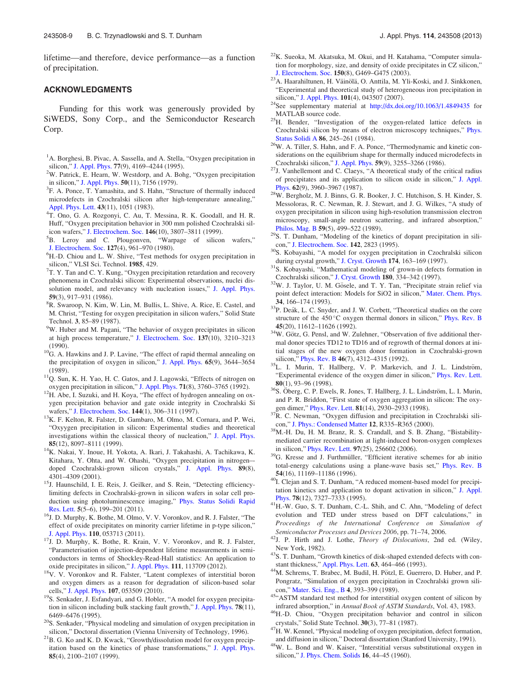<span id="page-8-0"></span>lifetime—and therefore, device performance—as a function of precipitation.

#### ACKNOWLEDGMENTS

Funding for this work was generously provided by SiWEDS, Sony Corp., and the Semiconductor Research Corp.

- <sup>1</sup>A. Borghesi, B. Pivac, A. Sassella, and A. Stella, "Oxygen precipitation in silicon," [J. Appl. Phys.](http://dx.doi.org/10.1063/1.359479) 77(9), 4169-4244 (1995).
- W. Patrick, E. Hearn, W. Westdorp, and A. Bohg, "Oxygen precipitation in silicon," [J. Appl. Phys.](http://dx.doi.org/10.1063/1.325825) 50(11), 7156 (1979).
- <sup>3</sup>F. A. Ponce, T. Yamashita, and S. Hahn, "Structure of thermally induced microdefects in Czochralski silicon after high-temperature annealing," [Appl. Phys. Lett.](http://dx.doi.org/10.1063/1.94232) 43(11), 1051 (1983).
- <sup>4</sup>T. Ono, G. A. Rozgonyi, C. Au, T. Messina, R. K. Goodall, and H. R. Huff, "Oxygen precipitation behavior in 300 mm polished Czochralski sil-icon wafers," [J. Electrochem. Soc.](http://dx.doi.org/10.1149/1.1392555) 146(10), 3807-3811 (1999).
- <sup>5</sup>B. Leroy and C. Plougonven, "Warpage of silicon wafers," [J. Electrochem. Soc.](http://dx.doi.org/10.1149/1.2129796) <sup>127</sup>(4), 961–970 (1980). <sup>6</sup>
- <sup>6</sup>H.-D. Chiou and L. W. Shive, "Test methods for oxygen precipitation in silicon," VLSI Sci. Technol. 1985, 429.
- $7T.$  Y. Tan and C. Y. Kung, "Oxygen precipitation retardation and recovery phenomena in Czochralski silicon: Experimental observations, nuclei dissolution model, and relevancy with nucleation issues," [J. Appl. Phys.](http://dx.doi.org/10.1063/1.336564) <sup>59</sup>(3), 917–931 (1986). <sup>8</sup>
- <sup>8</sup>R. Swaroop, N. Kim, W. Lin, M. Bullis, L. Shive, A. Rice, E. Castel, and M. Christ, "Testing for oxygen precipitation in silicon wafers," Solid State Technol. 3, 85-89 (1987).
- <sup>9</sup>W. Huber and M. Pagani, "The behavior of oxygen precipitates in silicon at high process temperature," [J. Electrochem. Soc.](http://dx.doi.org/10.1149/1.2086188) 137(10), 3210–3213
- (1990).  $^{10}$ G. A. Hawkins and J. P. Lavine, "The effect of rapid thermal annealing on the precipitation of oxygen in silicon," [J. Appl. Phys.](http://dx.doi.org/10.1063/1.342589) 65(9), 3644–3654 (1989).
- <sup>11</sup>Q. Sun, K. H. Yao, H. C. Gatos, and J. Lagowski, "Effects of nitrogen on
- oxygen precipitation in silicon," [J. Appl. Phys.](http://dx.doi.org/10.1063/1.350886) 71(8), 3760–3765 (1992). <sup>12</sup>H. Abe, I. Suzuki, and H. Koya, "The effect of hydrogen annealing on oxygen precipitation behavior and gate oxide integrity in Czochralski Si
- wafers," [J. Electrochem. Soc.](http://dx.doi.org/10.1149/1.1837400) 144(1), 306–311 (1997). <sup>13</sup>K. F. Kelton, R. Falster, D. Gambaro, M. Olmo, M. Cornara, and P. Wei, "Oxyygen precipitation in silicon: Experimental studies and theoretical investigations within the classical theory of nucleation," [J. Appl. Phys.](http://dx.doi.org/10.1063/1.370648)
- **85**(12), 8097–8111 (1999).<br><sup>14</sup>K. Nakai, Y. Inoue, H. Yokota, A. Ikari, J. Takahashi, A. Tachikawa, K. Kitahara, Y. Ohta, and W. Ohashi, "Oxygen precipitation in nitrogen– doped Czochralski-grown silicon crystals," [J. Appl. Phys.](http://dx.doi.org/10.1063/1.1356425) 89(8),
- 4301–4309 (2001).<br><sup>15</sup>J. Haunschild, I. E. Reis, J. Geilker, and S. Rein, "Detecting efficiencylimiting defects in Czochralski-grown in silicon wafers in solar cell production using photoluminescence imaging," [Phys. Status Solidi Rapid](http://dx.doi.org/10.1002/pssr.201105183)
- [Res. Lett.](http://dx.doi.org/10.1002/pssr.201105183) 5(5–6), 199–201 (2011). <sup>16</sup>J. D. Murphy, K. Bothe, M. Olmo, V. V. Voronkov, and R. J. Falster, "The effect of oxide precipitates on minority carrier lifetime in p-type silicon,"
- [J. Appl. Phys.](http://dx.doi.org/10.1063/1.3632067) 110, 053713 (2011). <sup>17</sup>J. D. Murphy, K. Bothe, R. Krain, V. V. Voronkov, and R. J. Falster, "Parameterisation of injection-dependent lifetime measurements in semiconductors in terms of Shockley-Read-Hall statistics: An application to
- oxide precipitates in silicon," [J. Appl. Phys.](http://dx.doi.org/10.1063/1.4725475) 111, 113709 (2012).<br><sup>18</sup>V. V. Voronkov and R. Falster, "Latent complexes of interstitial boron and oxygen dimers as a reason for degradation of silicon-based solar cells," J. Appl. Phys. 107, 053509 (2010).
- <sup>19</sup>S. Senkader, J. Esfandyari, and G. Hobler, "A model for oxygen precipitation in silicon including bulk stacking fault growth," [J. Appl. Phys.](http://dx.doi.org/10.1063/1.360532) 78(11),
- 6469–6476 (1995).<br><sup>20</sup>S. Senkader, "Physical modeling and simulation of oxygen precipitation in
- silicon," Doctoral dissertation (Vienna University of Technology, 1996). 21B. G. Ko and K. D. Kwack, "Growth/dissolution model for oxygen precipitation based on the kinetics of phase transformations," [J. Appl. Phys.](http://dx.doi.org/10.1063/1.369509) 85(4), 2100–2107 (1999).
- $22K$ . Sueoka, M. Akatsuka, M. Okui, and H. Katahama, "Computer simulation for morphology, size, and density of oxide precipitates in CZ silicon,"
- [J. Electrochem. Soc.](http://dx.doi.org/10.1149/1.1588301) 150(8), G469–G475 (2003). <sup>23</sup>A. Haarahiltunen, H. Väinölä, O. Anttila, M. Yli-Koski, and J. Sinkkonen, "Experimental and theoretical study of heterogeneous iron precipitation in silicon," J. Appl. Phys. 101(4), 043507 (2007).
- $24$ See supplementary material at <http://dx.doi.org/10.1063/1.4849435> for
- MATLAB source code.<br><sup>25</sup>H. Bender, "Investigation of the oxygen-related lattice defects in Czochralski silicon by means of electron microscopy techniques," [Phys.](http://dx.doi.org/10.1002/pssa.2210860126) [Status Solidi A](http://dx.doi.org/10.1002/pssa.2210860126) 86, 245–261 (1984).<br><sup>26</sup>W. A. Tiller, S. Hahn, and F. A. Ponce, "Thermodynamic and kinetic con-
- siderations on the equilibrium shape for thermally induced microdefects in
- Czochralski silicon," [J. Appl. Phys.](http://dx.doi.org/10.1063/1.336908)  $59(9)$ , 3255–3266 (1986). <sup>27</sup>J. Vanhellemont and C. Claeys, "A theoretical study of the critical radius of precipitates and its application to silicon oxide in silicon," [J. Appl.](http://dx.doi.org/10.1063/1.339194)
- [Phys.](http://dx.doi.org/10.1063/1.339194) <sup>62</sup>(9), 3960–3967 (1987). 28W. Bergholz, M. J. Binns, G. R. Booker, J. C. Hutchison, S. H. Kinder, S. Messoloras, R. C. Newman, R. J. Stewart, and J. G. Wilkes, "A study of oxygen precipitation in silicon using high-resolution transmission electron microscopy, small-angle neutron scattering, and infrared absorption,"
- [Philos. Mag. B](http://dx.doi.org/10.1080/13642818908211173) 59(5), 499–522 (1989). <sup>29</sup>S. T. Dunham, "Modeling of the kinetics of dopant precipitation in sili-
- con," [J. Electrochem. Soc.](http://dx.doi.org/10.1149/1.2050098) 142, 2823 (1995).<br><sup>30</sup>S. Kobayashi, "A model for oxygen precipitation in Czochralski silicon
- during crystal growth," [J. Cryst. Growth](http://dx.doi.org/10.1016/S0022-0248(96)01099-8) 174, 163–169 (1997).<br><sup>31</sup>S. Kobayashi, "Mathematical modeling of grown-in defects formation in
- Czochralski silicon," [J. Cryst. Growth](http://dx.doi.org/10.1016/S0022-0248(97)00232-7) **180**, 334–342 (1997).  $3^{32}$ W. J. Taylor, U. M. Gösele, and T. Y. Tan, "Precipitate strain relief via point defect interaction: Models for SiO2 in silicon," [Mater. Chem. Phys.](http://dx.doi.org/10.1016/0254-0584(93)90208-4)
- **34**, 166–174 (1993).<br> $33P$ . Deák, L. C. Snyder, and J. W. Corbett, "Theoretical studies on the core structure of the 450 °C oxygen thermal donors in silicon," [Phys. Rev. B](http://dx.doi.org/10.1103/PhysRevB.45.11612)
- 45(20), 11612–11626 (1992).<br><sup>34</sup>W. Götz, G. Pensl, and W. Zulehner, "Observation of five additional thermal donor species TD12 to TD16 and of regrowth of thermal donors at initial stages of the new oxygen donor formation in Czochralski-grown
- silicon," [Phys. Rev. B](http://dx.doi.org/10.1103/PhysRevB.46.4312) 46(7), 4312–4315 (1992).  $35L$ . I. Murin, T. Hallberg, V. P. Markevich, and J. L. Lindström, "Experimental evidence of the oxygen dimer in silicon," [Phys. Rev. Lett.](http://dx.doi.org/10.1103/PhysRevLett.80.93)
- 80(1), 93–96 (1998).<br><sup>36</sup>S. Öberg, C. P. Ewels, R. Jones, T. Hallberg, J. L. Lindström, L. I. Murin, and P. R. Briddon, "First state of oxygen aggregation in silicon: The oxy-
- gen dimer," [Phys. Rev. Lett.](http://dx.doi.org/10.1103/PhysRevLett.81.2930)  $81(14)$ , 2930–2933 (1998).  $37R$ . C. Newman, "Oxygen diffusion and precipitation in Czochralski sili-
- con," [J. Phys.: Condensed Matter](http://dx.doi.org/10.1088/0953-8984/12/25/201) <sup>12</sup>, R335–R365 (2000). 38M.-H. Du, H. M. Branz, R. S. Crandall, and S. B. Zhang, "Bistabilitymediated carrier recombination at light-induced boron-oxygen complexes
- in silicon," [Phys. Rev. Lett.](http://dx.doi.org/10.1103/PhysRevLett.97.256602) 97(25), 256602 (2006).  $^{39}$ G. Kresse and J. Furthmüller, "Efficient iterative schemes for ab initio total-energy calculations using a plane-wave basis set," [Phys. Rev. B](http://dx.doi.org/10.1103/PhysRevB.54.11169) 54(16), 11169–11186 (1996).
- <sup>40</sup>I. Clejan and S. T. Dunham, "A reduced moment-based model for precipi-tation kinetics and application to dopant activation in silicon," [J. Appl.](http://dx.doi.org/10.1063/1.360381) Phys. 78(12), 7327-7333 (1995).
- <sup>41</sup>H.-W. Guo, S. T. Dunham, C.-L. Shih, and C. Ahn, "Modeling of defect evolution and TED under stress based on DFT calculations," in Proceedings of the International Conference on Simulation of Semiconductor Processes and Devices 2006, pp. 71–74, 2006.
- $^{42}$ J. P. Hirth and J. Lothe, *Theory of Dislocations*, 2nd ed. (Wiley,
- New York, 1982). <sup>43</sup>S. T. Dunham, "Growth kinetics of disk-shaped extended defects with constant thickness," Appl. Phys. Lett. **63**, 464–466 (1993).
- <sup>44</sup>M. Schrems, T. Brabec, M. Budil, H. Pötzl, E. Guerrero, D. Huber, and P. Pongratz, "Simulation of oxygen precipitation in Czochralski grown sili-
- con," [Mater. Sci. Eng., B](http://dx.doi.org/10.1016/0921-5107(89)90277-8) 4, 393–399 (1989). 45"ASTM standard test method for interstitial oxygen content of silicon by
- infrared absorption," in Annual Book of ASTM Standards, Vol. 43, 1983.<br><sup>46</sup>H.-D. Chiou, "Oxygen precipitation behavior and control in silicon
- crystals," Solid State Technol.  $30(3)$ , 77–81 (1987).<br><sup>47</sup>H. W. Kennel, "Physical modeling of oxygen precipitation, defect formation,
- and diffusion in silicon," Doctoral dissertation (Stanford University, 1991). 48W. L. Bond and W. Kaiser, "Interstitial versus substitutional oxygen in silicon," [J. Phys. Chem. Solids](http://dx.doi.org/10.1016/0022-3697(60)90069-X) 16, 44–45 (1960).